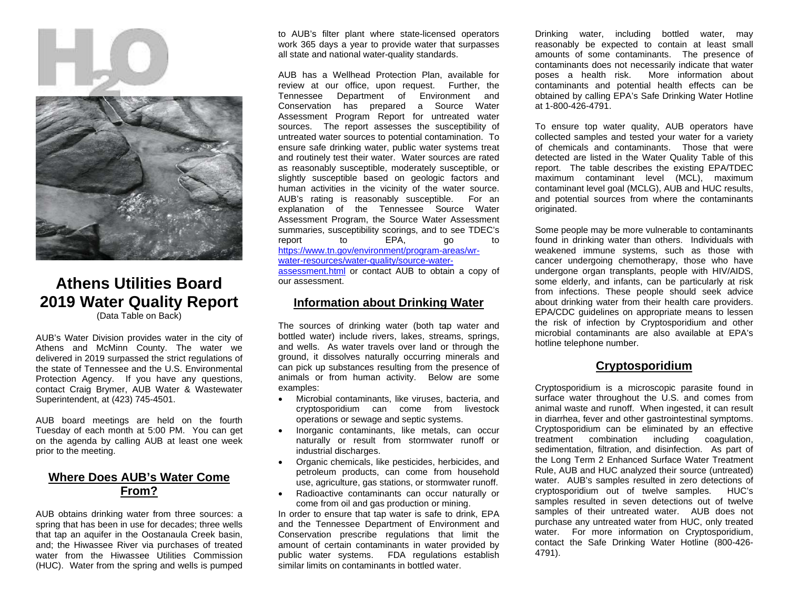



## **Athens Utilities Board 2019 Water Quality Report** (Data Table on Back)

AUB's Water Division provides water in the city of Athens and McMinn County. The water we delivered in 2019 surpassed the strict regulations of the state of Tennessee and the U.S. Environmental Protection Agency. If you have any questions, contact Craig Brymer, AUB Water & Wastewater Superintendent, at (423) 745-4501.

AUB board meetings are held on the fourth Tuesday of each month at 5:00 PM. You can get on the agenda by calling AUB at least one week prior to the meeting.

#### **Where Does AUB's Water Come From?**

AUB obtains drinking water from three sources: a spring that has been in use for decades; three wells that tap an aquifer in the Oostanaula Creek basin, and; the Hiwassee River via purchases of treated water from the Hiwassee Utilities Commission (HUC). Water from the spring and wells is pumped

to AUB's filter plant where state-licensed operators work 365 days a year to provide water that surpasses all state and national water-quality standards.

AUB has a Wellhead Protection Plan, available for review at our office, upon request. Further, the Tennessee Department of Environment and Conservation has prepared a Source Water Assessment Program Report for untreated water sources. The report assesses the susceptibility of untreated water sources to potential contamination. To ensure safe drinking water, public water systems treat and routinely test their water. Water sources are rated as reasonably susceptible, moderately susceptible, or slightly susceptible based on geologic factors and human activities in the vicinity of the water source. AUB's rating is reasonably susceptible. For an explanation of the Tennessee Source Water Assessment Program, the Source Water Assessment summaries, susceptibility scorings, and to see TDEC's<br>report to EPA, qo to report to EPA, go to [https://www.tn.gov/environment/program-areas/wr](https://www.tn.gov/environment/program-areas/wr-water-resources/water-quality/source-water-assessment.html)[water-resources/water-quality/source-water](https://www.tn.gov/environment/program-areas/wr-water-resources/water-quality/source-water-assessment.html)[assessment.html](https://www.tn.gov/environment/program-areas/wr-water-resources/water-quality/source-water-assessment.html) or contact AUB to obtain a copy of our assessment.

#### **Information about Drinking Water**

The sources of drinking water (both tap water and bottled water) include rivers, lakes, streams, springs, and wells. As water travels over land or through the ground, it dissolves naturally occurring minerals and can pick up substances resulting from the presence of animals or from human activity. Below are some examples:

- Microbial contaminants, like viruses, bacteria, and cryptosporidium can come from livestock operations or sewage and septic systems.
- Inorganic contaminants, like metals, can occur naturally or result from stormwater runoff or industrial discharges.
- Organic chemicals, like pesticides, herbicides, and petroleum products, can come from household use, agriculture, gas stations, or stormwater runoff.
- Radioactive contaminants can occur naturally or come from oil and gas production or mining.

In order to ensure that tap water is safe to drink, EPA and the Tennessee Department of Environment and Conservation prescribe regulations that limit the amount of certain contaminants in water provided by public water systems. FDA regulations establish similar limits on contaminants in bottled water.

Drinking water, including bottled water, may reasonably be expected to contain at least small amounts of some contaminants. The presence of contaminants does not necessarily indicate that water poses a health risk. More information about contaminants and potential health effects can be obtained by calling EPA's Safe Drinking Water Hotline at 1-800-426-4791.

To ensure top water quality, AUB operators have collected samples and tested your water for a variety of chemicals and contaminants. Those that were detected are listed in the Water Quality Table of this report. The table describes the existing EPA/TDEC maximum contaminant level (MCL), maximum contaminant level goal (MCLG), AUB and HUC results, and potential sources from where the contaminants originated.

Some people may be more vulnerable to contaminants found in drinking water than others. Individuals with weakened immune systems, such as those with cancer undergoing chemotherapy, those who have undergone organ transplants, people with HIV/AIDS, some elderly, and infants, can be particularly at risk from infections. These people should seek advice about drinking water from their health care providers. EPA/CDC guidelines on appropriate means to lessen the risk of infection by Cryptosporidium and other microbial contaminants are also available at EPA's hotline telephone number.

### **Cryptosporidium**

Cryptosporidium is a microscopic parasite found in surface water throughout the U.S. and comes from animal waste and runoff. When ingested, it can result in diarrhea, fever and other gastrointestinal symptoms. Cryptosporidium can be eliminated by an effective treatment combination including coagulation, sedimentation, filtration, and disinfection. As part of the Long Term 2 Enhanced Surface Water Treatment Rule, AUB and HUC analyzed their source (untreated) water. AUB's samples resulted in zero detections of cryptosporidium out of twelve samples. HUC's samples resulted in seven detections out of twelve samples of their untreated water. AUB does not purchase any untreated water from HUC, only treated water. For more information on Cryptosporidium, contact the Safe Drinking Water Hotline (800-426- 4791).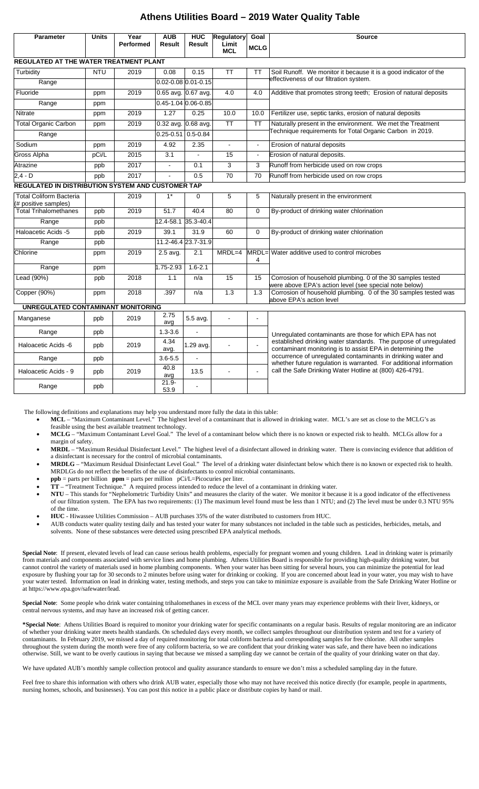#### **Athens Utilities Board – 2019 Water Quality Table**

| Parameter                                                | <b>Units</b> | Year<br><b>Performed</b> | <b>AUB</b><br><b>Result</b> | <b>HUC</b><br>Result    | <b>Regulatory</b><br>Limit<br><b>MCL</b> | Goal<br><b>MCLG</b> | <b>Source</b>                                                                                                                                                                                                                                                                                                                                                                               |
|----------------------------------------------------------|--------------|--------------------------|-----------------------------|-------------------------|------------------------------------------|---------------------|---------------------------------------------------------------------------------------------------------------------------------------------------------------------------------------------------------------------------------------------------------------------------------------------------------------------------------------------------------------------------------------------|
| REGULATED AT THE WATER TREATMENT PLANT                   |              |                          |                             |                         |                                          |                     |                                                                                                                                                                                                                                                                                                                                                                                             |
| Turbidity                                                | <b>NTU</b>   | 2019                     | 0.08                        | 0.15                    | <b>TT</b>                                | <b>TT</b>           | Soil Runoff. We monitor it because it is a good indicator of the<br>effectiveness of our filtration system.                                                                                                                                                                                                                                                                                 |
| Range                                                    |              |                          |                             | $0.02 - 0.08$ 0.01-0.15 |                                          |                     |                                                                                                                                                                                                                                                                                                                                                                                             |
| Fluoride                                                 | ppm          | 2019                     | 0.65 avg. 0.67 avg.         |                         | 4.0                                      | 4.0                 | Additive that promotes strong teeth; Erosion of natural deposits                                                                                                                                                                                                                                                                                                                            |
| Range                                                    | ppm          |                          |                             | 0.45-1.04 0.06-0.85     |                                          |                     |                                                                                                                                                                                                                                                                                                                                                                                             |
| Nitrate                                                  | ppm          | 2019                     | 1.27                        | 0.25                    | 10.0                                     | 10.0                | Fertilizer use, septic tanks, erosion of natural deposits                                                                                                                                                                                                                                                                                                                                   |
| <b>Total Organic Carbon</b>                              | ppm          | 2019                     | 0.32 avg. 0.68 avg.         |                         | $\overline{\text{TT}}$                   | <b>TT</b>           | Naturally present in the environment. We met the Treatment<br>Technique requirements for Total Organic Carbon in 2019.                                                                                                                                                                                                                                                                      |
| Range                                                    |              |                          | $0.25 - 0.51$ 0.5-0.84      |                         |                                          |                     |                                                                                                                                                                                                                                                                                                                                                                                             |
| Sodium                                                   | ppm          | 2019                     | 4.92                        | 2.35                    | $\overline{a}$                           | $\blacksquare$      | Erosion of natural deposits                                                                                                                                                                                                                                                                                                                                                                 |
| <b>Gross Alpha</b>                                       | pCi/L        | 2015                     | $\overline{3.1}$            | ÷,                      | 15                                       | $\blacksquare$      | Erosion of natural deposits.                                                                                                                                                                                                                                                                                                                                                                |
| Atrazine                                                 | ppb          | 2017                     | $\mathbf{r}$                | 0.1                     | 3                                        | 3                   | Runoff from herbicide used on row crops                                                                                                                                                                                                                                                                                                                                                     |
| $2, 4 - D$                                               | ppb          | 2017                     | ÷.                          | 0.5                     | 70                                       | 70                  | Runoff from herbicide used on row crops                                                                                                                                                                                                                                                                                                                                                     |
| <b>REGULATED IN DISTRIBUTION SYSTEM AND CUSTOMER TAP</b> |              |                          |                             |                         |                                          |                     |                                                                                                                                                                                                                                                                                                                                                                                             |
| <b>Total Coliform Bacteria</b><br>(# positive samples)   |              | 2019                     | $1^*$                       | $\mathbf 0$             | 5                                        | 5                   | Naturally present in the environment                                                                                                                                                                                                                                                                                                                                                        |
| <b>Total Trihalomethanes</b>                             | ppb          | 2019                     | 51.7                        | 40.4                    | 80                                       | $\Omega$            | By-product of drinking water chlorination                                                                                                                                                                                                                                                                                                                                                   |
| Range                                                    | ppb          |                          | 12.4-58.1                   | 35.3-40.4               |                                          |                     |                                                                                                                                                                                                                                                                                                                                                                                             |
| Haloacetic Acids -5                                      | ppb          | 2019                     | 39.1                        | 31.9                    | 60                                       | $\mathbf 0$         | By-product of drinking water chlorination                                                                                                                                                                                                                                                                                                                                                   |
| Range                                                    | ppb          |                          |                             | 11.2-46.4 23.7-31.9     |                                          |                     |                                                                                                                                                                                                                                                                                                                                                                                             |
| Chlorine                                                 | ppm          | 2019                     | $2.5$ avg.                  | 2.1                     | $MRDL=4$                                 | 4                   | MRDL= Water additive used to control microbes                                                                                                                                                                                                                                                                                                                                               |
| Range                                                    | ppm          |                          | 1.75-2.93                   | $1.6 - 2.1$             |                                          |                     |                                                                                                                                                                                                                                                                                                                                                                                             |
| Lead (90%)                                               | ppb          | 2018                     | 1.1                         | n/a                     | 15                                       | 15                  | Corrosion of household plumbing. 0 of the 30 samples tested<br>were above EPA's action level (see special note below)                                                                                                                                                                                                                                                                       |
| Copper (90%)                                             | ppm          | 2018                     | .397                        | n/a                     | 1.3                                      | 1.3                 | Corrosion of household plumbing. 0 of the 30 samples tested was<br>above EPA's action level                                                                                                                                                                                                                                                                                                 |
| UNREGULATED CONTAMINANT MONITORING                       |              |                          |                             |                         |                                          |                     |                                                                                                                                                                                                                                                                                                                                                                                             |
| Manganese                                                | ppb          | 2019                     | 2.75<br>avg                 | 5.5 avg.                | $\mathbf{r}$                             | $\overline{a}$      | Unregulated contaminants are those for which EPA has not<br>established drinking water standards. The purpose of unregulated<br>contaminant monitoring is to assist EPA in determining the<br>occurrence of unregulated contaminants in drinking water and<br>whether future regulation is warranted. For additional information<br>call the Safe Drinking Water Hotline at (800) 426-4791. |
| Range                                                    | ppb          |                          | $1.3 - 3.6$                 |                         |                                          |                     |                                                                                                                                                                                                                                                                                                                                                                                             |
| Haloacetic Acids -6                                      | ppb          | 2019                     | 4.34<br>avg.                | 1.29 avg.               |                                          | $\overline{a}$      |                                                                                                                                                                                                                                                                                                                                                                                             |
| Range                                                    | ppb          |                          | $3.6 - 5.5$                 | $\overline{a}$          |                                          |                     |                                                                                                                                                                                                                                                                                                                                                                                             |
| Haloacetic Acids - 9                                     | ppb          | 2019                     | 40.8<br>avg                 | 13.5                    | $\blacksquare$                           | $\blacksquare$      |                                                                                                                                                                                                                                                                                                                                                                                             |
| Range                                                    | ppb          |                          | $21.9 -$<br>53.9            |                         |                                          |                     |                                                                                                                                                                                                                                                                                                                                                                                             |

The following definitions and explanations may help you understand more fully the data in this table:

- **MCL** "Maximum Contaminant Level." The highest level of a contaminant that is allowed in drinking water. MCL's are set as close to the MCLG's as feasible using the best available treatment technology.
- **MCLG** "Maximum Contaminant Level Goal." The level of a contaminant below which there is no known or expected risk to health. MCLGs allow for a margin of safety.
- **MRDL** "Maximum Residual Disinfectant Level." The highest level of a disinfectant allowed in drinking water. There is convincing evidence that addition of a disinfectant is necessary for the control of microbial contaminants.
- **MRDLG** "Maximum Residual Disinfectant Level Goal." The level of a drinking water disinfectant below which there is no known or expected risk to health. MRDLGs do not reflect the benefits of the use of disinfectants to control microbial contaminants.
- **ppb** = parts per billion **ppm** = parts per million pCi/L=Picocuries per liter.
- **TT** "Treatment Technique." A required process intended to reduce the level of a contaminant in drinking water.
- **NTU** This stands for "Nephelometric Turbidity Units" and measures the clarity of the water. We monitor it because it is a good indicator of the effectiveness of our filtration system. The EPA has two requirements: (1) The maximum level found must be less than 1 NTU; and (2) The level must be under 0.3 NTU 95% of the time.
- **HUC** Hiwassee Utilities Commission AUB purchases 35% of the water distributed to customers from HUC.
- AUB conducts water quality testing daily and has tested your water for many substances not included in the table such as pesticides, herbicides, metals, and solvents. None of these substances were detected using prescribed EPA analytical methods.

**Special Note**: If present, elevated levels of lead can cause serious health problems, especially for pregnant women and young children. Lead in drinking water is primarily from materials and components associated with service lines and home plumbing. Athens Utilities Board is responsible for providing high-quality drinking water, but cannot control the variety of materials used in home plumbing components. When your water has been sitting for several hours, you can minimize the potential for lead exposure by flushing your tap for 30 seconds to 2 minutes before using water for drinking or cooking. If you are concerned about lead in your water, you may wish to have your water tested. Information on lead in drinking water, testing methods, and steps you can take to minimize exposure is available from the Safe Drinking Water Hotline or at https://www.epa.gov/safewater/lead.

**Special Note**: Some people who drink water containing trihalomethanes in excess of the MCL over many years may experience problems with their liver, kidneys, or central nervous systems, and may have an increased risk of getting cancer.

**\*Special Note**: Athens Utilities Board is required to monitor your drinking water for specific contaminants on a regular basis. Results of regular monitoring are an indicator of whether your drinking water meets health standards. On scheduled days every month, we collect samples throughout our distribution system and test for a variety of contaminants. In February 2019, we missed a day of required monitoring for total coliform bacteria and corresponding samples for free chlorine. All other samples throughout the system during the month were free of any coliform bacteria, so we are confident that your drinking water was safe, and there have been no indications otherwise. Still, we want to be overly cautious in saying that because we missed a sampling day we cannot be certain of the quality of your drinking water on that day.

We have updated AUB's monthly sample collection protocol and quality assurance standards to ensure we don't miss a scheduled sampling day in the future.

Feel free to share this information with others who drink AUB water, especially those who may not have received this notice directly (for example, people in apartments, nursing homes, schools, and businesses). You can post this notice in a public place or distribute copies by hand or mail.